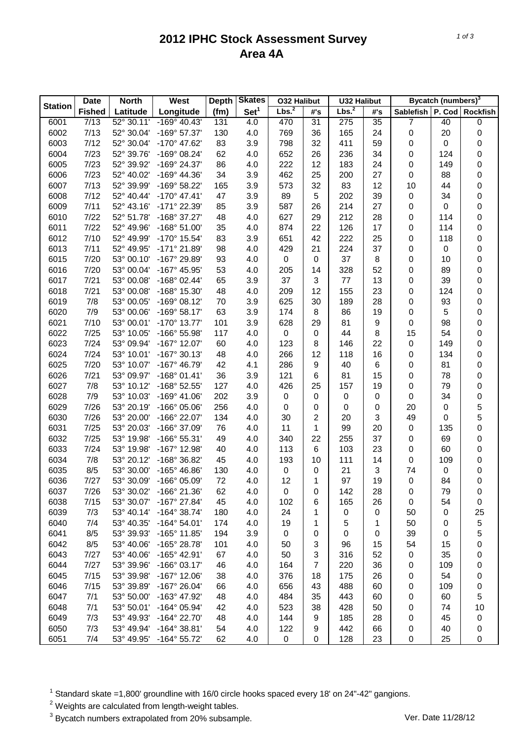## **2012 IPHC Stock Assessment Survey Area 4A**

|                | <b>Date</b><br><b>North</b> |                              | <b>West</b>           | <b>Depth</b> | <b>Skates</b>    | O32 Halibut       |                | <b>U32 Halibut</b> |     | Bycatch (numbers) <sup>3</sup> |        |                     |  |
|----------------|-----------------------------|------------------------------|-----------------------|--------------|------------------|-------------------|----------------|--------------------|-----|--------------------------------|--------|---------------------|--|
| <b>Station</b> | <b>Fished</b>               | Latitude                     | Longitude             | (fm)         | Set <sup>1</sup> | Lbs. <sup>2</sup> | #'s            | Lbs. <sup>2</sup>  | #'s | Sablefish                      | P. Cod | <b>Rockfish</b>     |  |
| 6001           | 7/13                        | $\frac{1}{22^{\circ} 30.11}$ | $-169^{\circ}$ 40.43' | 131          | 4.0              | 470               | 31             | 275                | 35  | 7                              | 40     | $\pmb{0}$           |  |
| 6002           | 7/13                        | 52° 30.04'                   | -169° 57.37'          | 130          | 4.0              | 769               | 36             | 165                | 24  | 0                              | 20     | 0                   |  |
| 6003           | 7/12                        | 52° 30.04'                   | -170° 47.62'          | 83           | 3.9              | 798               | 32             | 411                | 59  | 0                              | 0      | 0                   |  |
| 6004           | 7/23                        | 52° 39.76'                   | -169° 08.24'          | 62           | 4.0              | 652               | 26             | 236                | 34  | 0                              | 124    | 0                   |  |
| 6005           | 7/23                        | 52° 39.92'                   | -169° 24.37'          | 86           | 4.0              | 222               | 12             | 183                | 24  | 0                              | 149    | 0                   |  |
| 6006           | 7/23                        | 52° 40.02'                   | -169° 44.36'          | 34           | 3.9              | 462               | 25             | 200                | 27  | 0                              | 88     | 0                   |  |
| 6007           | 7/13                        | 52° 39.99'                   | -169° 58.22'          | 165          | 3.9              | 573               | 32             | 83                 | 12  | 10                             | 44     | 0                   |  |
| 6008           | 7/12                        | 52° 40.44'                   | $-170^{\circ}$ 47.41' | 47           | 3.9              | 89                | 5              | 202                | 39  | 0                              | 34     | 0                   |  |
| 6009           | 7/11                        | 52° 43.16'                   | -171° 22.39'          | 85           | 3.9              | 587               | 26             | 214                | 27  | 0                              | 0      | 0                   |  |
| 6010           | 7/22                        | 52° 51.78'                   | -168° 37.27'          | 48           | 4.0              | 627               | 29             | 212                | 28  | 0                              | 114    | 0                   |  |
| 6011           | 7/22                        | 52° 49.96'                   | $-168°51.00'$         | 35           | 4.0              | 874               | 22             | 126                | 17  | 0                              | 114    | 0                   |  |
| 6012           | 7/10                        | 52° 49.99'                   | -170° 15.54'          | 83           | 3.9              | 651               | 42             | 222                | 25  | 0                              | 118    | 0                   |  |
| 6013           | 7/11                        | 52° 49.95'                   | -171° 21.89'          | 98           | 4.0              | 429               | 21             | 224                | 37  | 0                              | 0      | 0                   |  |
| 6015           | 7/20                        | 53° 00.10'                   | -167° 29.89'          | 93           | 4.0              | $\pmb{0}$         | 0              | 37                 | 8   | 0                              | 10     | 0                   |  |
| 6016           | 7/20                        | 53° 00.04'                   | -167° 45.95'          | 53           | 4.0              | 205               | 14             | 328                | 52  | 0                              | 89     | 0                   |  |
| 6017           | 7/21                        | 53° 00.08'                   | $-168^{\circ}$ 02.44' | 65           | 3.9              | 37                | 3              | 77                 | 13  | 0                              | 39     | 0                   |  |
| 6018           | 7/21                        | 53° 00.08'                   | -168° 15.30'          | 48           | 4.0              | 209               | 12             | 155                | 23  | 0                              | 124    | 0                   |  |
| 6019           | 7/8                         | 53° 00.05                    | $-169°08.12'$         | 70           | 3.9              | 625               | 30             | 189                | 28  | 0                              | 93     | 0                   |  |
|                | 7/9                         | 53° 00.06'                   | $-169°58.17'$         |              |                  |                   | 8              |                    | 19  |                                |        |                     |  |
| 6020           |                             |                              |                       | 63           | 3.9              | 174               |                | 86                 |     | 0                              | 5      | 0                   |  |
| 6021           | 7/10                        | 53° 00.01'                   | $-170^{\circ}$ 13.77' | 101          | 3.9              | 628               | 29             | 81                 | 9   | 0                              | 98     | 0                   |  |
| 6022           | 7/25                        | 53° 10.05'                   | -166° 55.98'          | 117          | 4.0              | 0                 | $\pmb{0}$      | 44                 | 8   | 15                             | 54     | 0                   |  |
| 6023           | 7/24                        | 53° 09.94'                   | $-167^{\circ}$ 12.07' | 60           | 4.0              | 123               | 8              | 146                | 22  | 0                              | 149    | 0                   |  |
| 6024           | 7/24                        | 53° 10.01'                   | $-167^{\circ}$ 30.13' | 48           | 4.0              | 266               | 12             | 118                | 16  | 0                              | 134    | 0                   |  |
| 6025           | 7/20                        | 53° 10.07'                   | -167° 46.79'          | 42           | 4.1              | 286               | 9              | 40                 | 6   | 0                              | 81     | 0                   |  |
| 6026           | 7/21                        | 53° 09.97'                   | $-168°01.41'$         | 36           | 3.9              | 121               | 6              | 81                 | 15  | 0                              | 78     | 0                   |  |
| 6027           | 7/8                         | 53° 10.12'                   | -168° 52.55'          | 127          | 4.0              | 426               | 25             | 157                | 19  | 0                              | 79     | 0                   |  |
| 6028           | 7/9                         | 53° 10.03'                   | $-169^{\circ}$ 41.06' | 202          | 3.9              | 0                 | 0              | 0                  | 0   | 0                              | 34     | $\pmb{0}$           |  |
| 6029           | 7/26                        | 53° 20.19'                   | $-166^{\circ}$ 05.06' | 256          | 4.0              | 0                 | 0              | 0                  | 0   | 20                             | 0      | 5                   |  |
| 6030           | 7/26                        | 53° 20.00'                   | -166° 22.07'          | 134          | 4.0              | 30                | 2              | 20                 | 3   | 49                             | 0      | 5                   |  |
| 6031           | 7/25                        | 53° 20.03'                   | -166° 37.09'          | 76           | 4.0              | 11                | 1              | 99                 | 20  | 0                              | 135    | $\pmb{0}$           |  |
| 6032           | 7/25                        | 53° 19.98'                   | -166° 55.31'          | 49           | 4.0              | 340               | 22             | 255                | 37  | 0                              | 69     | 0                   |  |
| 6033           | 7/24                        | 53° 19.98'                   | -167° 12.98'          | 40           | 4.0              | 113               | 6              | 103                | 23  | 0                              | 60     | 0                   |  |
| 6034           | 7/8                         | 53° 20.12'                   | -168° 36.82'          | 45           | 4.0              | 193               | 10             | 111                | 14  | 0                              | 109    | 0                   |  |
| 6035           | 8/5                         | 53° 30.00                    | $-165^{\circ}$ 46.86' | 130          | 4.0              | 0                 | 0              | 21                 | 3   | 74                             | 0      | $\mathbf 0$         |  |
| 6036           | 7/27                        | 53° 30.09'                   | -166° 05.09'          | 72           | 4.0              | 12                | 1              | 97                 | 19  | $\pmb{0}$                      | 84     | $\mathsf{O}\xspace$ |  |
| 6037           | 7/26                        | 53° 30.02'                   | -166° 21.36'          | 62           | 4.0              | 0                 | 0              | 142                | 28  | 0                              | 79     | 0                   |  |
| 6038           | 7/15                        | 53° 30.07'                   | -167° 27.84'          | 45           | 4.0              | 102               | 6              | 165                | 26  | 0                              | 54     | $\pmb{0}$           |  |
| 6039           | 7/3                         | 53° 40.14'                   | $-164^{\circ}$ 38.74' | 180          | 4.0              | 24                | 1              | 0                  | 0   | 50                             | 0      | 25                  |  |
| 6040           | 7/4                         | 53° 40.35'                   | $-164^{\circ} 54.01'$ | 174          | 4.0              | 19                | 1              | 5                  | 1   | 50                             | 0      | 5                   |  |
| 6041           | 8/5                         | 53° 39.93'                   | $-165^{\circ}$ 11.85' | 194          | 3.9              | 0                 | 0              | 0                  | 0   | 39                             | 0      | 5                   |  |
| 6042           | 8/5                         | 53° 40.06'                   | -165° 28.78'          | 101          | 4.0              | 50                | 3              | 96                 | 15  | 54                             | 15     | 0                   |  |
| 6043           | 7/27                        | 53° 40.06'                   | -165° 42.91'          | 67           | 4.0              | 50                | 3              | 316                | 52  | 0                              | 35     | 0                   |  |
| 6044           | 7/27                        | 53° 39.96'                   | $-166°03.17'$         | 46           | 4.0              | 164               | $\overline{7}$ | 220                | 36  | 0                              | 109    | 0                   |  |
| 6045           | 7/15                        | 53° 39.98'                   | $-167^{\circ}$ 12.06' | 38           | 4.0              | 376               | 18             | 175                | 26  | 0                              | 54     | 0                   |  |
| 6046           | 7/15                        | 53° 39.89'                   | -167° 26.04'          | 66           | 4.0              | 656               | 43             | 488                | 60  | 0                              | 109    | 0                   |  |
| 6047           | 7/1                         | 53° 50.00'                   | -163° 47.92'          | 48           | 4.0              | 484               | 35             | 443                | 60  | 0                              | 60     | 5                   |  |
| 6048           | 7/1                         | 53° 50.01'                   | $-164^{\circ}$ 05.94' |              |                  | 523               | 38             |                    |     |                                | 74     |                     |  |
|                |                             |                              |                       | 42           | 4.0              |                   |                | 428                | 50  | 0                              |        | 10                  |  |
| 6049           | 7/3                         | 53° 49.93'                   | -164° 22.70'          | 48           | 4.0              | 144               | 9              | 185                | 28  | 0                              | 45     | $\pmb{0}$           |  |
| 6050           | 7/3                         | 53° 49.94'                   | $-164^{\circ}$ 38.81' | 54           | 4.0              | 122               | 9              | 442                | 66  | 0                              | 40     | $\pmb{0}$           |  |
| 6051           | 7/4                         | 53° 49.95'                   | $-164^{\circ} 55.72'$ | 62           | 4.0              | 0                 | 0              | 128                | 23  | 0                              | 25     | 0                   |  |

 $1$  Standard skate =1,800' groundline with 16/0 circle hooks spaced every 18' on 24"-42" gangions.

 $2$  Weights are calculated from length-weight tables.

<sup>3</sup> Bycatch numbers extrapolated from 20% subsample. Ver. Date 11/28/12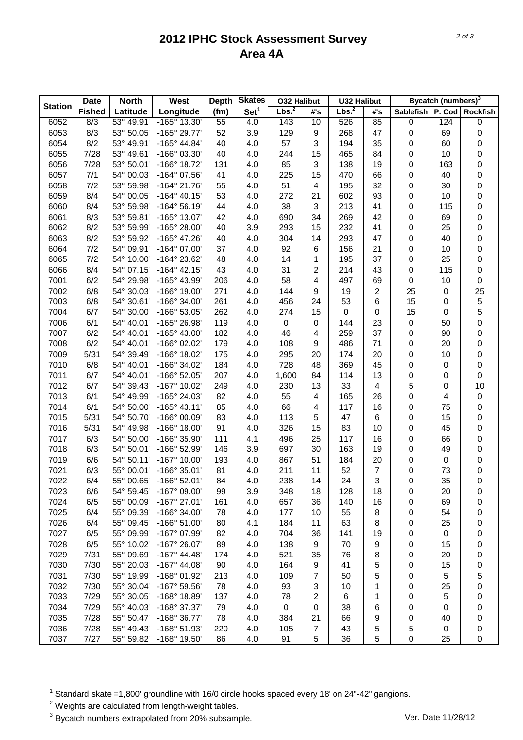## **2012 IPHC Stock Assessment Survey Area 4A**

|                | <b>Date</b><br><b>North</b> |                          | <b>West</b>                  | <b>Depth</b> | <b>Skates</b>    | <b>032 Halibut</b> |                         | <b>U32 Halibut</b> |     | <b>Bycatch (numbers)</b> <sup>3</sup> |                  |                     |  |
|----------------|-----------------------------|--------------------------|------------------------------|--------------|------------------|--------------------|-------------------------|--------------------|-----|---------------------------------------|------------------|---------------------|--|
| <b>Station</b> | <b>Fished</b>               | Latitude                 | Longitude                    | (fm)         | Set <sup>1</sup> | Lbs. <sup>2</sup>  | #'s                     | Lbs. <sup>2</sup>  | #'s | <b>Sablefish</b>                      | P. Cod           | <b>Rockfish</b>     |  |
| 6052           | 8/3                         | 53° 49.91'               | -165° 13.30'                 | 55           | 4.0              | 143                | 10                      | 526                | 85  | 0                                     | 124              | $\pmb{0}$           |  |
| 6053           | 8/3                         | 53° 50.05'               | -165° 29.77'                 | 52           | 3.9              | 129                | 9                       | 268                | 47  | 0                                     | 69               | 0                   |  |
| 6054           | 8/2                         | 53° 49.91'               | $-165^{\circ}$ 44.84'        | 40           | 4.0              | 57                 | 3                       | 194                | 35  | 0                                     | 60               | 0                   |  |
| 6055           | 7/28                        | 53° 49.61'               | -166° 03.30'                 | 40           | 4.0              | 244                | 15                      | 465                | 84  | 0                                     | 10               | 0                   |  |
| 6056           | 7/28                        | 53° 50.01'               | -166° 18.72'                 | 131          | 4.0              | 85                 | 3                       | 138                | 19  | 0                                     | 163              | $\pmb{0}$           |  |
| 6057           | 7/1                         | 54° 00.03'               | -164° 07.56'                 | 41           | 4.0              | 225                | 15                      | 470                | 66  | 0                                     | 40               | 0                   |  |
| 6058           | 7/2                         | 53° 59.98'               | $-164^{\circ}$ 21.76'        | 55           | 4.0              | 51                 | $\overline{\mathbf{4}}$ | 195                | 32  | 0                                     | 30               | $\pmb{0}$           |  |
| 6059           | 8/4                         | 54° 00.05'               | $-164^{\circ}$ 40.15'        | 53           | 4.0              | 272                | 21                      | 602                | 93  | 0                                     | 10               | $\pmb{0}$           |  |
| 6060           | 8/4                         | 53° 59.98'               | -164° 56.19'                 | 44           | 4.0              | 38                 | 3                       | 213                | 41  | 0                                     | 115              | $\pmb{0}$           |  |
| 6061           | 8/3                         | 53° 59.81'               | -165° 13.07'                 | 42           | 4.0              | 690                | 34                      | 269                | 42  | 0                                     | 69               | $\pmb{0}$           |  |
| 6062           | 8/2                         | 53° 59.99'               | -165° 28.00'                 | 40           | 3.9              | 293                | 15                      | 232                | 41  | 0                                     | 25               | $\mathbf 0$         |  |
| 6063           | 8/2                         | 53° 59.92'               | -165° 47.26'                 | 40           | 4.0              | 304                | 14                      | 293                | 47  | 0                                     | 40               | $\pmb{0}$           |  |
| 6064           | 7/2                         | 54° 09.91'               | -164° 07.00'                 | 37           | 4.0              | 92                 | 6                       | 156                | 21  | 0                                     | 10               | $\pmb{0}$           |  |
| 6065           | 7/2                         | 54° 10.00'               | -164° 23.62'                 | 48           | 4.0              | 14                 | 1                       | 195                | 37  | 0                                     | 25               | 0                   |  |
| 6066           | 8/4                         | 54° 07.15'               | $-164^{\circ}$ 42.15'        | 43           | 4.0              | 31                 | 2                       | 214                | 43  | 0                                     | 115              | $\pmb{0}$           |  |
| 7001           | 6/2                         | 54° 29.98'               | -165° 43.99'                 | 206          | 4.0              | 58                 | $\overline{\mathbf{4}}$ | 497                | 69  | 0                                     | 10               | $\mathsf{O}\xspace$ |  |
| 7002           | 6/8                         | 54° 30.03'               | -166° 19.00'                 | 271          | 4.0              | 144                | 9                       | 19                 | 2   | 25                                    | 0                | 25                  |  |
| 7003           | 6/8                         | 54° 30.61'               | -166° 34.00'                 | 261          | 4.0              | 456                | 24                      | 53                 | 6   | 15                                    | 0                | 5                   |  |
| 7004           | 6/7                         | 54° 30.00'               | -166° 53.05'                 | 262          | 4.0              | 274                | 15                      | $\pmb{0}$          | 0   | 15                                    | 0                | 5                   |  |
| 7006           | 6/1                         | 54° 40.01'               | -165° 26.98'                 | 119          | 4.0              | 0                  | 0                       | 144                | 23  | 0                                     | 50               | $\pmb{0}$           |  |
| 7007           | 6/2                         | 54° 40.01'               | -165° 43.00'                 | 182          | 4.0              | 46                 | 4                       | 259                | 37  | 0                                     | 90               | $\pmb{0}$           |  |
| 7008           | 6/2                         | 54° 40.01'               | -166° 02.02'                 | 179          | 4.0              | 108                | 9                       | 486                | 71  | 0                                     | 20               | $\pmb{0}$           |  |
| 7009           | 5/31                        | 54° 39.49'               | -166° 18.02'                 | 175          | 4.0              | 295                | 20                      | 174                | 20  | 0                                     | 10               | $\pmb{0}$           |  |
| 7010           | 6/8                         | 54° 40.01'               | -166° 34.02'                 | 184          | 4.0              | 728                | 48                      | 369                | 45  | 0                                     | 0                | $\pmb{0}$           |  |
| 7011           | 6/7                         | 54° 40.01'               | -166° 52.05'                 | 207          | 4.0              | 1,600              | 84                      | 114                | 13  | 0                                     | 0                | 0                   |  |
| 7012           | 6/7                         | 54° 39.43'               | -167° 10.02'                 | 249          | 4.0              | 230                | 13                      | 33                 | 4   | 5                                     | 0                | 10                  |  |
| 7013           | 6/1                         | 54° 49.99'               | -165° 24.03'                 | 82           | 4.0              | 55                 | $\overline{\mathbf{4}}$ | 165                | 26  | 0                                     | 4                | 0                   |  |
| 7014           | 6/1                         | 54° 50.00'               | $-165^{\circ}$ 43.11'        | 85           | 4.0              | 66                 | 4                       | 117                | 16  | 0                                     | 75               | 0                   |  |
| 7015           | 5/31                        | 54° 50.70'               | -166° 00.09'                 | 83           | 4.0              | 113                | 5                       | 47                 | 6   | 0                                     | 15               |                     |  |
| 7016           | 5/31                        | 54° 49.98'               | $-166^{\circ}$ 18.00'        | 91           | 4.0              | 326                | 15                      | 83                 | 10  | 0                                     | 45               | $\mathbf 0$         |  |
| 7017           | 6/3                         | 54° 50.00'               | -166° 35.90'                 | 111          | 4.1              | 496                | 25                      | 117                | 16  | 0                                     | 66               | $\mathbf 0$         |  |
| 7018           | 6/3                         | 54° 50.01'               | -166° 52.99'                 | 146          | 3.9              | 697                | 30                      | 163                | 19  | 0                                     | 49               | $\mathbf 0$<br>0    |  |
| 7019           |                             |                          |                              |              |                  |                    | 51                      |                    | 20  |                                       |                  |                     |  |
|                | 6/6                         | 54° 50.11'               | -167° 10.00'<br>-166° 35.01' | 193          | 4.0              | 867                |                         | 184                |     | 0                                     | 0                | 0                   |  |
| 7021           | 6/3                         | 55° 00.01'<br>55° 00.65' |                              | 81           | 4.0              | 211                | 11                      | 52                 | 7   | 0                                     | 73               | $\mathbf 0$         |  |
| 7022           | 6/4                         |                          | -166° 52.01'                 | 84           | 4.0              | 238                | 14                      | 24                 | 3   | 0                                     | 35               | $\mathsf{O}\xspace$ |  |
| 7023           | 6/6                         | 54° 59.45'               | -167° 09.00'                 | 99           | 3.9              | 348                | 18                      | 128                | 18  | 0                                     | 20               | 0                   |  |
| 7024           | 6/5                         | 55° 00.09'               | $-167^{\circ}$ 27.01'        | 161          | 4.0              | 657                | 36                      | 140                | 16  | 0                                     | 69               | 0                   |  |
| 7025           | 6/4                         | 55° 09.39'               | $-166^{\circ}$ 34.00'        | 78           | 4.0              | 177                | 10                      | 55                 | 8   | 0                                     | 54               | 0                   |  |
| 7026           | 6/4                         | 55° 09.45'               | $-166°51.00'$                | 80           | 4.1              | 184                | 11                      | 63                 | 8   | 0                                     | 25               | 0                   |  |
| 7027           | 6/5                         | 55° 09.99'               | -167° 07.99'                 | 82           | 4.0              | 704                | 36                      | 141                | 19  | 0                                     | $\boldsymbol{0}$ | 0                   |  |
| 7028           | 6/5                         | 55° 10.02'               | -167° 26.07'                 | 89           | 4.0              | 138                | 9                       | 70                 | 9   | 0                                     | 15               | 0                   |  |
| 7029           | 7/31                        | 55° 09.69'               | $-167^{\circ}$ 44.48'        | 174          | 4.0              | 521                | 35                      | 76                 | 8   | 0                                     | 20               | 0                   |  |
| 7030           | 7/30                        | 55° 20.03'               | $-167^{\circ}$ 44.08'        | 90           | 4.0              | 164                | 9                       | 41                 | 5   | 0                                     | 15               | 0                   |  |
| 7031           | 7/30                        | 55° 19.99'               | -168° 01.92'                 | 213          | 4.0              | 109                | 7                       | 50                 | 5   | 0                                     | 5                | 5                   |  |
| 7032           | 7/30                        | 55° 30.04'               | -167° 59.56'                 | 78           | 4.0              | 93                 | 3                       | 10                 | 1   | 0                                     | 25               | 0                   |  |
| 7033           | 7/29                        | 55° 30.05'               | -168° 18.89'                 | 137          | 4.0              | 78                 | $\overline{c}$          | 6                  | 1   | 0                                     | 5                | 0                   |  |
| 7034           | 7/29                        | 55° 40.03'               | -168° 37.37'                 | 79           | 4.0              | 0                  | 0                       | 38                 | 6   | 0                                     | 0                | 0                   |  |
| 7035           | 7/28                        | 55° 50.47'               | -168° 36.77'                 | 78           | 4.0              | 384                | 21                      | 66                 | 9   | 0                                     | 40               | 0                   |  |
| 7036           | 7/28                        | 55° 49.43'               | -168° 51.93'                 | 220          | 4.0              | 105                | $\overline{7}$          | 43                 | 5   | 5                                     | $\boldsymbol{0}$ | 0                   |  |
| 7037           | 7/27                        | 55° 59.82'               | -168° 19.50'                 | 86           | 4.0              | 91                 | 5                       | 36                 | 5   | 0                                     | 25               | 0                   |  |

 $1$  Standard skate =1,800' groundline with 16/0 circle hooks spaced every 18' on 24"-42" gangions.

 $2$  Weights are calculated from length-weight tables.

<sup>3</sup> Bycatch numbers extrapolated from 20% subsample. Ver. Date 11/28/12